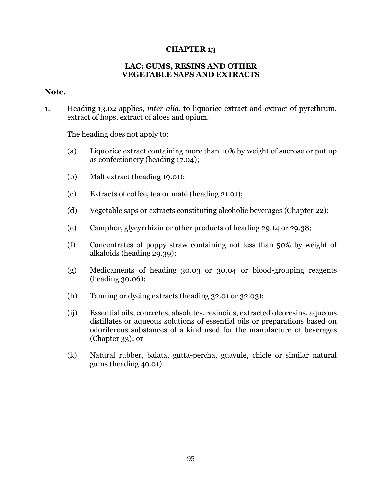## **CHAPTER 13**

## **LAC; GUMS, RESINS AND OTHER VEGETABLE SAPS AND EXTRACTS**

## **Note.**

1. Heading 13.02 applies, *inter alia*, to liquorice extract and extract of pyrethrum, extract of hops, extract of aloes and opium.

The heading does not apply to:

- (a) Liquorice extract containing more than 10% by weight of sucrose or put up as confectionery (heading 17.04);
- (b) Malt extract (heading 19.01);
- (c) Extracts of coffee, tea or maté (heading 21.01);
- (d) Vegetable saps or extracts constituting alcoholic beverages (Chapter 22);
- (e) Camphor, glycyrrhizin or other products of heading 29.14 or 29.38;
- (f) Concentrates of poppy straw containing not less than 50% by weight of alkaloids (heading 29.39);
- (g) Medicaments of heading 30.03 or 30.04 or blood-grouping reagents (heading 30.06);
- (h) Tanning or dyeing extracts (heading 32.01 or 32.03);
- (ij) Essential oils, concretes, absolutes, resinoids, extracted oleoresins, aqueous distillates or aqueous solutions of essential oils or preparations based on odoriferous substances of a kind used for the manufacture of beverages (Chapter 33); or
- (k) Natural rubber, balata, gutta-percha, guayule, chicle or similar natural gums (heading 40.01).